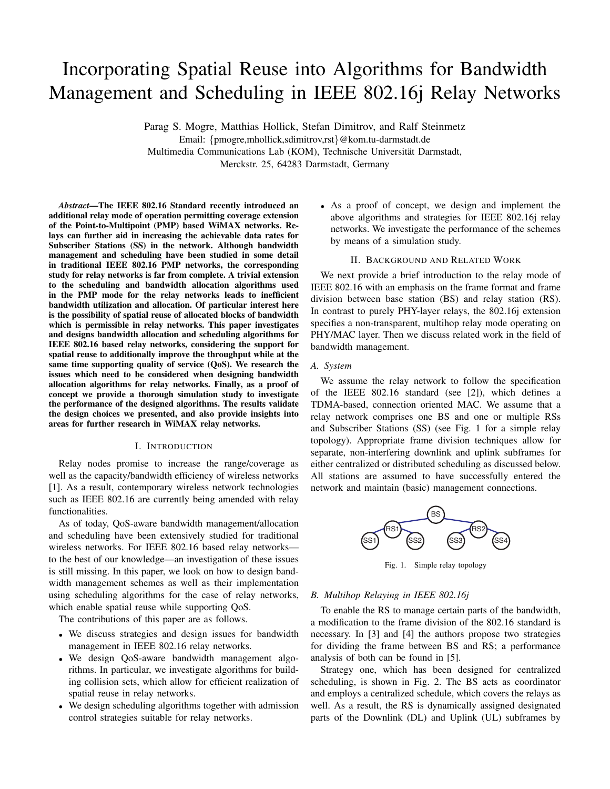# Incorporating Spatial Reuse into Algorithms for Bandwidth Management and Scheduling in IEEE 802.16j Relay Networks

Parag S. Mogre, Matthias Hollick, Stefan Dimitrov, and Ralf Steinmetz

Email: {pmogre,mhollick,sdimitrov,rst}@kom.tu-darmstadt.de

Multimedia Communications Lab (KOM), Technische Universität Darmstadt,

Merckstr. 25, 64283 Darmstadt, Germany

*Abstract*—The IEEE 802.16 Standard recently introduced an additional relay mode of operation permitting coverage extension of the Point-to-Multipoint (PMP) based WiMAX networks. Relays can further aid in increasing the achievable data rates for Subscriber Stations (SS) in the network. Although bandwidth management and scheduling have been studied in some detail in traditional IEEE 802.16 PMP networks, the corresponding study for relay networks is far from complete. A trivial extension to the scheduling and bandwidth allocation algorithms used in the PMP mode for the relay networks leads to inefficient bandwidth utilization and allocation. Of particular interest here is the possibility of spatial reuse of allocated blocks of bandwidth which is permissible in relay networks. This paper investigates and designs bandwidth allocation and scheduling algorithms for IEEE 802.16 based relay networks, considering the support for spatial reuse to additionally improve the throughput while at the same time supporting quality of service (QoS). We research the issues which need to be considered when designing bandwidth allocation algorithms for relay networks. Finally, as a proof of concept we provide a thorough simulation study to investigate the performance of the designed algorithms. The results validate the design choices we presented, and also provide insights into areas for further research in WiMAX relay networks.

## I. INTRODUCTION

Relay nodes promise to increase the range/coverage as well as the capacity/bandwidth efficiency of wireless networks [1]. As a result, contemporary wireless network technologies such as IEEE 802.16 are currently being amended with relay functionalities.

As of today, QoS-aware bandwidth management/allocation and scheduling have been extensively studied for traditional wireless networks. For IEEE 802.16 based relay networks to the best of our knowledge—an investigation of these issues is still missing. In this paper, we look on how to design bandwidth management schemes as well as their implementation using scheduling algorithms for the case of relay networks, which enable spatial reuse while supporting QoS.

The contributions of this paper are as follows.

- We discuss strategies and design issues for bandwidth management in IEEE 802.16 relay networks.
- We design QoS-aware bandwidth management algorithms. In particular, we investigate algorithms for building collision sets, which allow for efficient realization of spatial reuse in relay networks.
- We design scheduling algorithms together with admission control strategies suitable for relay networks.

• As a proof of concept, we design and implement the above algorithms and strategies for IEEE 802.16j relay networks. We investigate the performance of the schemes by means of a simulation study.

#### II. BACKGROUND AND RELATED WORK

We next provide a brief introduction to the relay mode of IEEE 802.16 with an emphasis on the frame format and frame division between base station (BS) and relay station (RS). In contrast to purely PHY-layer relays, the 802.16j extension specifies a non-transparent, multihop relay mode operating on PHY/MAC layer. Then we discuss related work in the field of bandwidth management.

## *A. System*

We assume the relay network to follow the specification of the IEEE 802.16 standard (see [2]), which defines a TDMA-based, connection oriented MAC. We assume that a relay network comprises one BS and one or multiple RSs and Subscriber Stations (SS) (see Fig. 1 for a simple relay topology). Appropriate frame division techniques allow for separate, non-interfering downlink and uplink subframes for either centralized or distributed scheduling as discussed below. All stations are assumed to have successfully entered the network and maintain (basic) management connections.



Fig. 1. Simple relay topology

## *B. Multihop Relaying in IEEE 802.16j*

To enable the RS to manage certain parts of the bandwidth, a modification to the frame division of the 802.16 standard is necessary. In [3] and [4] the authors propose two strategies for dividing the frame between BS and RS; a performance analysis of both can be found in [5].

Strategy one, which has been designed for centralized scheduling, is shown in Fig. 2. The BS acts as coordinator and employs a centralized schedule, which covers the relays as well. As a result, the RS is dynamically assigned designated parts of the Downlink (DL) and Uplink (UL) subframes by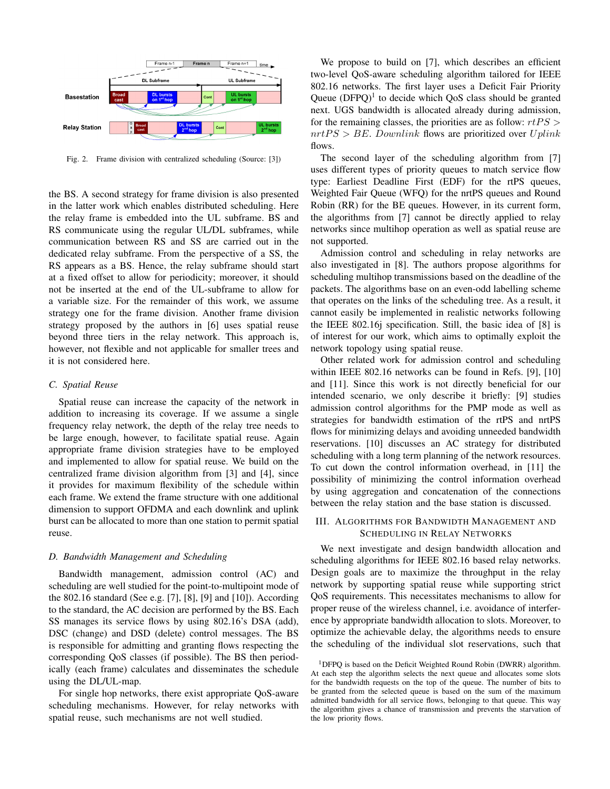

Fig. 2. Frame division with centralized scheduling (Source: [3])

the BS. A second strategy for frame division is also presented in the latter work which enables distributed scheduling. Here the relay frame is embedded into the UL subframe. BS and RS communicate using the regular UL/DL subframes, while communication between RS and SS are carried out in the dedicated relay subframe. From the perspective of a SS, the RS appears as a BS. Hence, the relay subframe should start at a fixed offset to allow for periodicity; moreover, it should not be inserted at the end of the UL-subframe to allow for a variable size. For the remainder of this work, we assume strategy one for the frame division. Another frame division strategy proposed by the authors in [6] uses spatial reuse beyond three tiers in the relay network. This approach is, however, not flexible and not applicable for smaller trees and it is not considered here.

## *C. Spatial Reuse*

Spatial reuse can increase the capacity of the network in addition to increasing its coverage. If we assume a single frequency relay network, the depth of the relay tree needs to be large enough, however, to facilitate spatial reuse. Again appropriate frame division strategies have to be employed and implemented to allow for spatial reuse. We build on the centralized frame division algorithm from [3] and [4], since it provides for maximum flexibility of the schedule within each frame. We extend the frame structure with one additional dimension to support OFDMA and each downlink and uplink burst can be allocated to more than one station to permit spatial reuse.

#### *D. Bandwidth Management and Scheduling*

Bandwidth management, admission control (AC) and scheduling are well studied for the point-to-multipoint mode of the 802.16 standard (See e.g. [7], [8], [9] and [10]). According to the standard, the AC decision are performed by the BS. Each SS manages its service flows by using 802.16's DSA (add), DSC (change) and DSD (delete) control messages. The BS is responsible for admitting and granting flows respecting the corresponding QoS classes (if possible). The BS then periodically (each frame) calculates and disseminates the schedule using the DL/UL-map.

For single hop networks, there exist appropriate QoS-aware scheduling mechanisms. However, for relay networks with spatial reuse, such mechanisms are not well studied.

We propose to build on [7], which describes an efficient two-level QoS-aware scheduling algorithm tailored for IEEE 802.16 networks. The first layer uses a Deficit Fair Priority Queue  $(DFPQ)^1$  to decide which QoS class should be granted next. UGS bandwidth is allocated already during admission, for the remaining classes, the priorities are as follow:  $rtPS$  $nrtPS > BE$ . Downlink flows are prioritized over Uplink flows.

The second layer of the scheduling algorithm from [7] uses different types of priority queues to match service flow type: Earliest Deadline First (EDF) for the rtPS queues, Weighted Fair Queue (WFQ) for the nrtPS queues and Round Robin (RR) for the BE queues. However, in its current form, the algorithms from [7] cannot be directly applied to relay networks since multihop operation as well as spatial reuse are not supported.

Admission control and scheduling in relay networks are also investigated in [8]. The authors propose algorithms for scheduling multihop transmissions based on the deadline of the packets. The algorithms base on an even-odd labelling scheme that operates on the links of the scheduling tree. As a result, it cannot easily be implemented in realistic networks following the IEEE 802.16j specification. Still, the basic idea of [8] is of interest for our work, which aims to optimally exploit the network topology using spatial reuse.

Other related work for admission control and scheduling within IEEE 802.16 networks can be found in Refs. [9], [10] and [11]. Since this work is not directly beneficial for our intended scenario, we only describe it briefly: [9] studies admission control algorithms for the PMP mode as well as strategies for bandwidth estimation of the rtPS and nrtPS flows for minimizing delays and avoiding unneeded bandwidth reservations. [10] discusses an AC strategy for distributed scheduling with a long term planning of the network resources. To cut down the control information overhead, in [11] the possibility of minimizing the control information overhead by using aggregation and concatenation of the connections between the relay station and the base station is discussed.

## III. ALGORITHMS FOR BANDWIDTH MANAGEMENT AND SCHEDULING IN RELAY NETWORKS

We next investigate and design bandwidth allocation and scheduling algorithms for IEEE 802.16 based relay networks. Design goals are to maximize the throughput in the relay network by supporting spatial reuse while supporting strict QoS requirements. This necessitates mechanisms to allow for proper reuse of the wireless channel, i.e. avoidance of interference by appropriate bandwidth allocation to slots. Moreover, to optimize the achievable delay, the algorithms needs to ensure the scheduling of the individual slot reservations, such that

<sup>&</sup>lt;sup>1</sup>DFPQ is based on the Deficit Weighted Round Robin (DWRR) algorithm. At each step the algorithm selects the next queue and allocates some slots for the bandwidth requests on the top of the queue. The number of bits to be granted from the selected queue is based on the sum of the maximum admitted bandwidth for all service flows, belonging to that queue. This way the algorithm gives a chance of transmission and prevents the starvation of the low priority flows.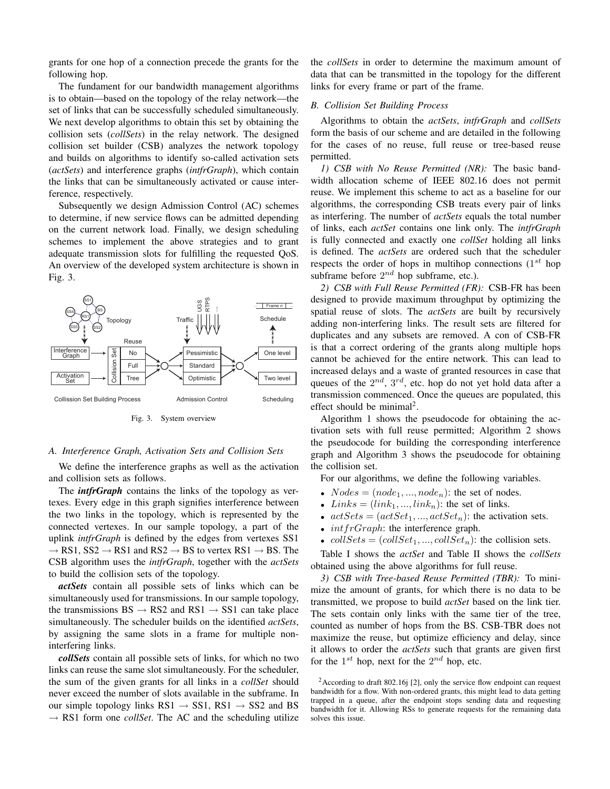grants for one hop of a connection precede the grants for the following hop.

The fundament for our bandwidth management algorithms is to obtain—based on the topology of the relay network—the set of links that can be successfully scheduled simultaneously. We next develop algorithms to obtain this set by obtaining the collision sets (*collSets*) in the relay network. The designed collision set builder (CSB) analyzes the network topology and builds on algorithms to identify so-called activation sets (*actSets*) and interference graphs (*intfrGraph*), which contain the links that can be simultaneously activated or cause interference, respectively.

Subsequently we design Admission Control (AC) schemes to determine, if new service flows can be admitted depending on the current network load. Finally, we design scheduling schemes to implement the above strategies and to grant adequate transmission slots for fulfilling the requested QoS. An overview of the developed system architecture is shown in Fig. 3.



Fig. 3. System overview

#### *A. Interference Graph, Activation Sets and Collision Sets*

We define the interference graphs as well as the activation and collision sets as follows.

The *intfrGraph* contains the links of the topology as vertexes. Every edge in this graph signifies interference between the two links in the topology, which is represented by the connected vertexes. In our sample topology, a part of the uplink *intfrGraph* is defined by the edges from vertexes SS1  $\rightarrow$  RS1, SS2  $\rightarrow$  RS1 and RS2  $\rightarrow$  BS to vertex RS1  $\rightarrow$  BS. The CSB algorithm uses the *intfrGraph*, together with the *actSets* to build the collision sets of the topology.

*actSets* contain all possible sets of links which can be simultaneously used for transmissions. In our sample topology, the transmissions  $BS \rightarrow RS2$  and  $RS1 \rightarrow SS1$  can take place simultaneously. The scheduler builds on the identified *actSets*, by assigning the same slots in a frame for multiple noninterfering links.

*collSets* contain all possible sets of links, for which no two links can reuse the same slot simultaneously. For the scheduler, the sum of the given grants for all links in a *collSet* should never exceed the number of slots available in the subframe. In our simple topology links  $RS1 \rightarrow SS1$ ,  $RS1 \rightarrow SS2$  and BS  $\rightarrow$  RS1 form one *collSet*. The AC and the scheduling utilize the *collSets* in order to determine the maximum amount of data that can be transmitted in the topology for the different links for every frame or part of the frame.

## *B. Collision Set Building Process*

Algorithms to obtain the *actSets*, *intfrGraph* and *collSets* form the basis of our scheme and are detailed in the following for the cases of no reuse, full reuse or tree-based reuse permitted.

*1) CSB with No Reuse Permitted (NR):* The basic bandwidth allocation scheme of IEEE 802.16 does not permit reuse. We implement this scheme to act as a baseline for our algorithms, the corresponding CSB treats every pair of links as interfering. The number of *actSets* equals the total number of links, each *actSet* contains one link only. The *intfrGraph* is fully connected and exactly one *collSet* holding all links is defined. The *actSets* are ordered such that the scheduler respects the order of hops in multihop connections  $(1^{st}$  hop subframe before  $2^{nd}$  hop subframe, etc.).

*2) CSB with Full Reuse Permitted (FR):* CSB-FR has been designed to provide maximum throughput by optimizing the spatial reuse of slots. The *actSets* are built by recursively adding non-interfering links. The result sets are filtered for duplicates and any subsets are removed. A con of CSB-FR is that a correct ordering of the grants along multiple hops cannot be achieved for the entire network. This can lead to increased delays and a waste of granted resources in case that queues of the  $2^{nd}$ ,  $3^{rd}$ , etc. hop do not yet hold data after a transmission commenced. Once the queues are populated, this effect should be minimal<sup>2</sup>.

Algorithm 1 shows the pseudocode for obtaining the activation sets with full reuse permitted; Algorithm 2 shows the pseudocode for building the corresponding interference graph and Algorithm 3 shows the pseudocode for obtaining the collision set.

For our algorithms, we define the following variables.

- $Nodes = (node_1, ..., node_n)$ : the set of nodes.
- Links =  $(link_1, ..., link_n)$ : the set of links.
- $acts = (actSet<sub>1</sub>, ..., actSet<sub>n</sub>)$ : the activation sets.
- $\int$  interference graph.
- collSets =  $(collSet_1, ..., collSet_n)$ : the collision sets.

Table I shows the *actSet* and Table II shows the *collSets* obtained using the above algorithms for full reuse.

*3) CSB with Tree-based Reuse Permitted (TBR):* To minimize the amount of grants, for which there is no data to be transmitted, we propose to build *actSet* based on the link tier. The sets contain only links with the same tier of the tree, counted as number of hops from the BS. CSB-TBR does not maximize the reuse, but optimize efficiency and delay, since it allows to order the *actSets* such that grants are given first for the  $1^{st}$  hop, next for the  $2^{nd}$  hop, etc.

 $2$ According to draft 802.16j [2], only the service flow endpoint can request bandwidth for a flow. With non-ordered grants, this might lead to data getting trapped in a queue, after the endpoint stops sending data and requesting bandwidth for it. Allowing RSs to generate requests for the remaining data solves this issue.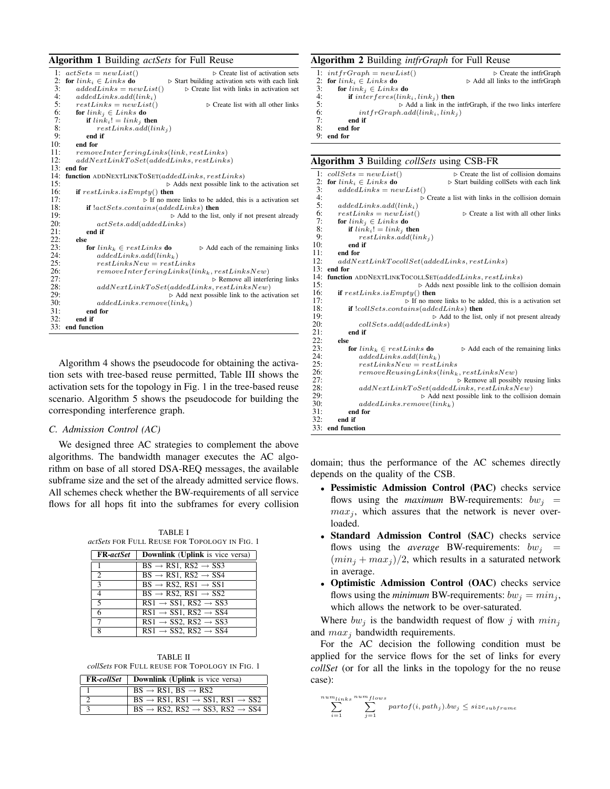## Algorithm 1 Building *actSets* for Full Reuse

| 1:  | $actSets = newList()$<br>$\triangleright$ Create list of activation sets                    |  |  |  |
|-----|---------------------------------------------------------------------------------------------|--|--|--|
| 2:  | for $link_i \in Links$ do<br>$\triangleright$ Start building activation sets with each link |  |  |  |
| 3:  | $\triangleright$ Create list with links in activation set<br>$addedLinks = newList()$       |  |  |  |
| 4:  | added Links.add(link <sub>i</sub> )                                                         |  |  |  |
| 5:  | $restLinks = newList()$<br>$\triangleright$ Create list with all other links                |  |  |  |
| 6:  | for $link_i \in Links$ do                                                                   |  |  |  |
| 7:  | if $link_i! = link_i$ then                                                                  |  |  |  |
| 8:  | restLinks.add(link <sub>i</sub> )                                                           |  |  |  |
| 9:  | end if                                                                                      |  |  |  |
| 10: | end for                                                                                     |  |  |  |
| 11: | $removeInterfering Links (link, restLinks)$                                                 |  |  |  |
| 12: | $addNextLinkToSet(added Links, restLinks)$                                                  |  |  |  |
| 13: | end for                                                                                     |  |  |  |
| 14: | <b>function</b> ADDNEXTLINKTOSET(addedLinks, $restLinks$ )                                  |  |  |  |
| 15: | $\triangleright$ Adds next possible link to the activation set                              |  |  |  |
| 16: | if $restLinks.isEmpty()$ then                                                               |  |  |  |
| 17: | $\triangleright$ If no more links to be added, this is a activation set                     |  |  |  |
| 18: | if $! acts. contains (added Links)$ then                                                    |  |  |  |
| 19: | $\triangleright$ Add to the list, only if not present already                               |  |  |  |
| 20: | acts. add (added Links)                                                                     |  |  |  |
| 21: | end if                                                                                      |  |  |  |
| 22: | else                                                                                        |  |  |  |
| 23: | for $link_k \in restLinks$ do<br>$\triangleright$ Add each of the remaining links           |  |  |  |
| 24: | $addedLinks.add(link_k)$                                                                    |  |  |  |
| 25: | $restLinksNew = restLinks$                                                                  |  |  |  |
| 26: | $removeInterfering Links(link_k, restLinksNew)$                                             |  |  |  |
| 27: | $\triangleright$ Remove all interfering links                                               |  |  |  |
| 28: | $addNextLinkToSet(added Links, restLinksNew)$                                               |  |  |  |
| 29: | $\triangleright$ Add next possible link to the activation set                               |  |  |  |
| 30: | $added Links.remove(link_k)$                                                                |  |  |  |
| 31: | end for                                                                                     |  |  |  |
| 32: | end if                                                                                      |  |  |  |
| 33: | end function                                                                                |  |  |  |
|     |                                                                                             |  |  |  |

Algorithm 4 shows the pseudocode for obtaining the activation sets with tree-based reuse permitted, Table III shows the activation sets for the topology in Fig. 1 in the tree-based reuse scenario. Algorithm 5 shows the pseudocode for building the corresponding interference graph.

## *C. Admission Control (AC)*

We designed three AC strategies to complement the above algorithms. The bandwidth manager executes the AC algorithm on base of all stored DSA-REQ messages, the available subframe size and the set of the already admitted service flows. All schemes check whether the BW-requirements of all service flows for all hops fit into the subframes for every collision

TABLE I *actSets* FOR FULL REUSE FOR TOPOLOGY IN FIG. 1

| <b>FR-actSet</b>         | <b>Downlink</b> ( <b>Uplink</b> is vice versa) |
|--------------------------|------------------------------------------------|
|                          | $BS \rightarrow RS1, RS2 \rightarrow SS3$      |
| $\overline{\phantom{a}}$ | $BS \rightarrow RS1, RS2 \rightarrow SS4$      |
| $\overline{\mathcal{E}}$ | $BS \rightarrow RS2, RS1 \rightarrow SS1$      |
| $\overline{4}$           | $BS \rightarrow RS2, RS1 \rightarrow SS2$      |
| $\overline{\phantom{1}}$ | $RS1 \rightarrow SS1, RS2 \rightarrow SS3$     |
| 6                        | $RS1 \rightarrow SS1, RS2 \rightarrow SS4$     |
| 7                        | $RS1 \rightarrow SS2, RS2 \rightarrow SS3$     |
| $\mathbf{Q}$             | $RS1 \rightarrow SS2, RS2 \rightarrow SS4$     |

TABLE II *collSets* FOR FULL REUSE FOR TOPOLOGY IN FIG. 1

| <b>FR-collSet</b>   Downlink (Uplink is vice versa)                  |  |  |
|----------------------------------------------------------------------|--|--|
| $BS \rightarrow RSI$ . $BS \rightarrow RS2$                          |  |  |
| $BS \rightarrow RSI$ , $RS1 \rightarrow SS1$ , $RS1 \rightarrow SS2$ |  |  |
| $BS \rightarrow RS2$ , RS2 $\rightarrow SS3$ , RS2 $\rightarrow SS4$ |  |  |

## Algorithm 2 Building *intfrGraph* for Full Reuse

1:  $\operatorname{inf}_i \operatorname{Graph} = \operatorname{newList}()$   $\triangleright$  Create the intfr<br/>Graph 2: for  $\operatorname{link}_i \in \operatorname{Links}$  do  $\triangleright$  Add all links to the intfr<br/>Graph

2: for  $link_i \in Links$  do  $\triangleright$  Add all links to the intfrGraph 3: for  $link_i \in Links$  do

3: for  $link_j \in Links$  do<br>4: if  $interferes (lin)$ 

4: if  $interferes(link_i, link_j)$  then<br>5:  $\triangleright$  Add a link in the

- 5:<br>  $\triangleright$  Add a link in the intfrGraph, if the two links interfere<br>
6:<br>  $int f \cdot G \cdot rad(link_i, link_i)$ 6:  $int f rGraph.add(link_i, link_j)$ <br>7: **end if**
- 
- 7: end if
- 8: end for end for

# Algorithm 3 Building *collSets* using CSB-FR

| ິ   |                                                                                      |  |  |  |
|-----|--------------------------------------------------------------------------------------|--|--|--|
| 1:  | $\triangleright$ Create the list of collision domains<br>$collSets = newList()$      |  |  |  |
| 2:  | for $link_i \in Links$ do<br>$\triangleright$ Start building collSets with each link |  |  |  |
| 3:  | $addedLinks = newList()$                                                             |  |  |  |
| 4:  | $\triangleright$ Create a list with links in the collision domain                    |  |  |  |
| 5:  | addedLinks.add(link <sub>i</sub> )                                                   |  |  |  |
| 6:  | $restLinks = newList()$<br>$\triangleright$ Create a list with all other links       |  |  |  |
| 7:  | for $link_i \in Links$ do                                                            |  |  |  |
| 8:  | if $link_i! = link_i$ then                                                           |  |  |  |
| 9:  | restLinks.add(link <sub>i</sub> )                                                    |  |  |  |
| 10: | end if                                                                               |  |  |  |
| 11: | end for                                                                              |  |  |  |
| 12: | $addNextLinkTocollSet(addedLinks, restLinks)$                                        |  |  |  |
| 13: | end for                                                                              |  |  |  |
| 14: | function ADDNEXTLINKTOCOLLSET(addedLinks, $restLinks$ )                              |  |  |  |
| 15: | $\triangleright$ Adds next possible link to the collision domain                     |  |  |  |
| 16: | if $restLinks.isEmpty()$ then                                                        |  |  |  |
| 17: | $\triangleright$ If no more links to be added, this is a activation set              |  |  |  |
| 18: | if $ collSets_{\cdot} contains (added Links)$ then                                   |  |  |  |
| 19: | $\triangleright$ Add to the list, only if not present already                        |  |  |  |
| 20: | collSets.add(addedLinks)                                                             |  |  |  |
| 21: | end if                                                                               |  |  |  |
| 22: | else                                                                                 |  |  |  |
| 23: | for $link_k \in restLinks$ do<br>$\triangleright$ Add each of the remaining links    |  |  |  |
| 24: | $added Links.add(line_k)$                                                            |  |  |  |
| 25: | $restLinksNew = restLinks$                                                           |  |  |  |
| 26: | $removeReusingLinks(link_k, restLinksNew)$                                           |  |  |  |
| 27: | $\triangleright$ Remove all possibly reusing links                                   |  |  |  |
| 28: | $addNextLinkToSet(added Links, restLinksNew)$                                        |  |  |  |
| 29: | $\triangleright$ Add next possible link to the collision domain                      |  |  |  |
| 30: | $added Links.remove(link_k)$                                                         |  |  |  |
| 31: | end for                                                                              |  |  |  |
| 32: | end if                                                                               |  |  |  |
| 33: | end function                                                                         |  |  |  |
|     |                                                                                      |  |  |  |

domain; thus the performance of the AC schemes directly depends on the quality of the CSB.

- Pessimistic Admission Control (PAC) checks service flows using the *maximum* BW-requirements:  $bw_i$  =  $max_i$ , which assures that the network is never overloaded.
- Standard Admission Control (SAC) checks service flows using the *average* BW-requirements:  $bw_j$  $(min_j + max_j)/2$ , which results in a saturated network in average.
- Optimistic Admission Control (OAC) checks service flows using the *minimum* BW-requirements:  $bw_j = min_j$ , which allows the network to be over-saturated.

Where  $bw_i$  is the bandwidth request of flow j with  $min_i$ and  $max<sub>j</sub>$  bandwidth requirements.

For the AC decision the following condition must be applied for the service flows for the set of links for every *collSet* (or for all the links in the topology for the no reuse case):

$$
\sum_{i=1}^{num_{links}} \sum_{j=1}^{num_{flows}} partof(i, path_j).bw_j \leq size_{subframe}
$$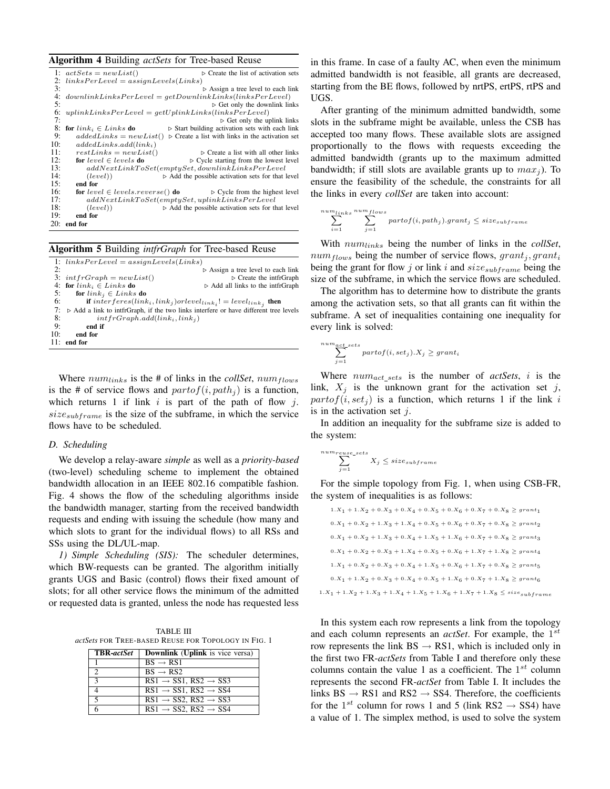## Algorithm 4 Building *actSets* for Tree-based Reuse

| l: - | $\triangleright$ Create the list of activation sets<br>$actSets = newList()$                |
|------|---------------------------------------------------------------------------------------------|
| 2:   | $links PerLevel = assignLevels(Links)$                                                      |
| 3:   | $\triangleright$ Assign a tree level to each link                                           |
| 4:   | $downlinkLinksPerLevel = getDownlinkLinks(linksPerLevel)$                                   |
| 5:   | $\triangleright$ Get only the downlink links                                                |
| 6:   | $uplinkLinksPerLevel = getUplinkLinks(linksPerLevel)$                                       |
| 7:   | $\triangleright$ Get only the uplink links                                                  |
| 8:   | $\triangleright$ Start building activation sets with each link<br>for $link_i \in Links$ do |
| 9:   | $\triangleright$ Create a list with links in the activation set<br>$addedLinks = newList()$ |
| 10:  | $addedLinks.add(link_i)$                                                                    |
| 11:  | $restLinks = newList()$<br>$\triangleright$ Create a list with all other links              |
| 12:  | for $level \in levels$ do<br>$\triangleright$ Cycle starting from the lowest level          |
| 13:  | $addNextLinkToSet(emptySet, downlinkLinksPerLevel$                                          |
| 14:  | (level)<br>$\triangleright$ Add the possible activation sets for that level                 |
| 15:  | end for                                                                                     |
| 16:  | for level $\in$ levels. reverse() do<br>$\triangleright$ Cycle from the highest level       |
| 17:  | $addNextLinkToSet(emptySet, uplinkLinksPerLevel$                                            |
| 18:  | $\triangleright$ Add the possible activation sets for that level<br>(level)                 |
| 19:  | end for                                                                                     |
| 20:  | end for                                                                                     |

#### Algorithm 5 Building *intfrGraph* for Tree-based Reuse

|     | 1: $linksPerLevel = assignLevels(Links)$ |                                                                                                     |  |
|-----|------------------------------------------|-----------------------------------------------------------------------------------------------------|--|
| 2:  |                                          | $\triangleright$ Assign a tree level to each link                                                   |  |
|     | 3: $intrGraph = newList()$               | $\triangleright$ Create the intfrGraph                                                              |  |
|     | 4: for $link_i \in Links$ do             | $\triangleright$ Add all links to the intfrGraph                                                    |  |
| 5:  | for $link_i \in Links$ do                |                                                                                                     |  |
| 6:  |                                          | if $interferes(link_i, link_j) or level_{link_i}!=level_{link_i}$ then                              |  |
| 7:  |                                          | $\triangleright$ Add a link to intfrGraph, if the two links interfere or have different tree levels |  |
| 8:  | $intfrGraph.add(link_i, link_i)$         |                                                                                                     |  |
| 9:  | end if                                   |                                                                                                     |  |
| 10: | end for                                  |                                                                                                     |  |
| 11: | end for                                  |                                                                                                     |  |

Where  $num_{links}$  is the # of links in the *collSet*,  $num_{flows}$ is the # of service flows and  $partof(i, path<sub>i</sub>)$  is a function, which returns 1 if link  $i$  is part of the path of flow  $i$ .  $size_{subframe}$  is the size of the subframe, in which the service flows have to be scheduled.

#### *D. Scheduling*

We develop a relay-aware *simple* as well as a *priority-based* (two-level) scheduling scheme to implement the obtained bandwidth allocation in an IEEE 802.16 compatible fashion. Fig. 4 shows the flow of the scheduling algorithms inside the bandwidth manager, starting from the received bandwidth requests and ending with issuing the schedule (how many and which slots to grant for the individual flows) to all RSs and SSs using the DL/UL-map.

*1) Simple Scheduling (SIS):* The scheduler determines, which BW-requests can be granted. The algorithm initially grants UGS and Basic (control) flows their fixed amount of slots; for all other service flows the minimum of the admitted or requested data is granted, unless the node has requested less

TABLE III *actSets* FOR TREE-BASED REUSE FOR TOPOLOGY IN FIG. 1

| <b>TBR-actSet</b> | <b>Downlink</b> ( <b>Uplink</b> is vice versa)                      |
|-------------------|---------------------------------------------------------------------|
|                   | $\overline{BS} \rightarrow RSI$                                     |
| 2                 | $BS \rightarrow RS2$                                                |
| $\mathbf{R}$      | $RS1 \rightarrow SS1$ . $RS2 \rightarrow SS3$                       |
|                   | $RS1 \rightarrow SS1$ , $RS2 \rightarrow SS4$                       |
| 5                 | $RS1 \rightarrow SS2$ , $RS2 \rightarrow SS3$                       |
| 6                 | $\overline{RS1} \rightarrow \overline{SS2}$ , RS2 $\rightarrow$ SS4 |

in this frame. In case of a faulty AC, when even the minimum admitted bandwidth is not feasible, all grants are decreased, starting from the BE flows, followed by nrtPS, ertPS, rtPS and UGS.

After granting of the minimum admitted bandwidth, some slots in the subframe might be available, unless the CSB has accepted too many flows. These available slots are assigned proportionally to the flows with requests exceeding the admitted bandwidth (grants up to the maximum admitted bandwidth; if still slots are available grants up to  $max<sub>j</sub>$ ). To ensure the feasibility of the schedule, the constraints for all the links in every *collSet* are taken into account:

$$
\sum_{i=1}^{num_{links}} \sum_{j=1}^{num_{flows}} partof(i, path_j).grant_j \leq size_{subframe}
$$

With numlinks being the number of links in the *collSet*,  $num_{flows}$  being the number of service flows,  $grant_i$ being the grant for flow j or link i and  $size_{subframe}$  being the size of the subframe, in which the service flows are scheduled.

The algorithm has to determine how to distribute the grants among the activation sets, so that all grants can fit within the subframe. A set of inequalities containing one inequality for every link is solved:

$$
\sum_{j=1}^{m_{act\_sets}} part of (i, set_j).X_j \ge grant_i
$$

 $n.u$ 

Where  $num_{act\_sets}$  is the number of  $actSets$ , i is the link,  $X_j$  is the unknown grant for the activation set j,  $partof(i, set<sub>j</sub>)$  is a function, which returns 1 if the link i is in the activation set  $j$ .

In addition an inequality for the subframe size is added to the system:

$$
\sum_{j=1}^{num_{reuse\_sets}} X_j \leq size_{subframe}
$$

For the simple topology from Fig. 1, when using CSB-FR, the system of inequalities is as follows:

| $1.X_1 + 1.X_2 + 0.X_3 + 0.X_4 + 0.X_5 + 0.X_6 + 0.X_7 + 0.X_8 \geq grant_1$                        |
|-----------------------------------------------------------------------------------------------------|
| $0. X_1 + 0. X_2 + 1. X_3 + 1. X_4 + 0. X_5 + 0. X_6 + 0. X_7 + 0. X_8 \geq \operatorname{grant}_2$ |
| $0. X_1 + 0. X_2 + 1. X_3 + 0. X_4 + 1. X_5 + 1. X_6 + 0. X_7 + 0. X_8 \geq \operatorname{grant}_3$ |
| $0. X_1 + 0. X_2 + 0. X_3 + 1. X_4 + 0. X_5 + 0. X_6 + 1. X_7 + 1. X_8 \geq \mathit{grant}_4$       |
| $1.X_1 + 0.X_2 + 0.X_3 + 0.X_4 + 1.X_5 + 0.X_6 + 1.X_7 + 0.X_8 \geq grant_5$                        |
| $0. X_1 + 1. X_2 + 0. X_3 + 0. X_4 + 0. X_5 + 1. X_6 + 0. X_7 + 1. X_8 \geq grant_6$                |
| $1.X_1 + 1.X_2 + 1.X_3 + 1.X_4 + 1.X_5 + 1.X_6 + 1.X_7 + 1.X_8 \leq size_{subframe}$                |

In this system each row represents a link from the topology and each column represents an *actSet*. For example, the 1<sup>st</sup> row represents the link  $BS \rightarrow RS1$ , which is included only in the first two FR-*actSets* from Table I and therefore only these columns contain the value 1 as a coefficient. The  $1^{st}$  column represents the second FR-*actSet* from Table I. It includes the links  $BS \rightarrow RS1$  and  $RS2 \rightarrow SS4$ . Therefore, the coefficients for the  $1^{st}$  column for rows 1 and 5 (link RS2  $\rightarrow$  SS4) have a value of 1. The simplex method, is used to solve the system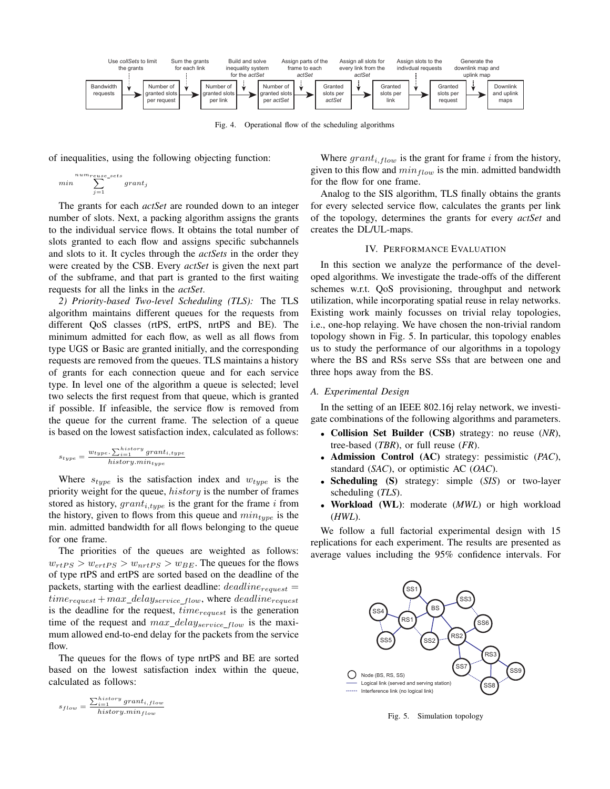

Fig. 4. Operational flow of the scheduling algorithms

of inequalities, using the following objecting function:

$$
min \sum_{j=1}^{num_{reuse\_sets}} grant_j
$$

The grants for each *actSet* are rounded down to an integer number of slots. Next, a packing algorithm assigns the grants to the individual service flows. It obtains the total number of slots granted to each flow and assigns specific subchannels and slots to it. It cycles through the *actSets* in the order they were created by the CSB. Every *actSet* is given the next part of the subframe, and that part is granted to the first waiting requests for all the links in the *actSet*.

*2) Priority-based Two-level Scheduling (TLS):* The TLS algorithm maintains different queues for the requests from different QoS classes (rtPS, ertPS, nrtPS and BE). The minimum admitted for each flow, as well as all flows from type UGS or Basic are granted initially, and the corresponding requests are removed from the queues. TLS maintains a history of grants for each connection queue and for each service type. In level one of the algorithm a queue is selected; level two selects the first request from that queue, which is granted if possible. If infeasible, the service flow is removed from the queue for the current frame. The selection of a queue is based on the lowest satisfaction index, calculated as follows:

$$
s_{type} = \frac{w_{type} \cdot \sum_{i=1}^{history}grant_{i,type}}{history.min_{type}}
$$

Where  $s_{type}$  is the satisfaction index and  $w_{type}$  is the priority weight for the queue, history is the number of frames stored as history,  $grant_{i,type}$  is the grant for the frame i from the history, given to flows from this queue and  $min_{true}$  is the min. admitted bandwidth for all flows belonging to the queue for one frame.

The priorities of the queues are weighted as follows:  $w_{rtPS} > w_{ertPS} > w_{nrtPS} > w_{BE}$ . The queues for the flows of type rtPS and ertPS are sorted based on the deadline of the packets, starting with the earliest deadline:  $deadline$ <sub>request</sub> =  $time_{request} + max\_delay_{service-flow}$ , where  $deadline_{request}$ is the deadline for the request,  $time_{request}$  is the generation time of the request and  $max\_delay_{service\_flow}$  is the maximum allowed end-to-end delay for the packets from the service flow.

The queues for the flows of type nrtPS and BE are sorted based on the lowest satisfaction index within the queue, calculated as follows:

$$
s_{flow} = \frac{\sum_{i=1}^{history}grant_{i,flow}}{history.min_{flow}}
$$

Where  $grant_{i, flow}$  is the grant for frame i from the history, given to this flow and  $min_{flow}$  is the min. admitted bandwidth for the flow for one frame.

Analog to the SIS algorithm, TLS finally obtains the grants for every selected service flow, calculates the grants per link of the topology, determines the grants for every *actSet* and creates the DL/UL-maps.

## IV. PERFORMANCE EVALUATION

In this section we analyze the performance of the developed algorithms. We investigate the trade-offs of the different schemes w.r.t. QoS provisioning, throughput and network utilization, while incorporating spatial reuse in relay networks. Existing work mainly focusses on trivial relay topologies, i.e., one-hop relaying. We have chosen the non-trivial random topology shown in Fig. 5. In particular, this topology enables us to study the performance of our algorithms in a topology where the BS and RSs serve SSs that are between one and three hops away from the BS.

## *A. Experimental Design*

In the setting of an IEEE 802.16j relay network, we investigate combinations of the following algorithms and parameters.

- Collision Set Builder (CSB) strategy: no reuse (*NR*), tree-based (*TBR*), or full reuse (*FR*).
- Admission Control (AC) strategy: pessimistic (*PAC*), standard (*SAC*), or optimistic AC (*OAC*).
- Scheduling (S) strategy: simple (*SIS*) or two-layer scheduling (*TLS*).
- Workload (WL): moderate (*MWL*) or high workload (*HWL*).

We follow a full factorial experimental design with 15 replications for each experiment. The results are presented as average values including the 95% confidence intervals. For



Fig. 5. Simulation topology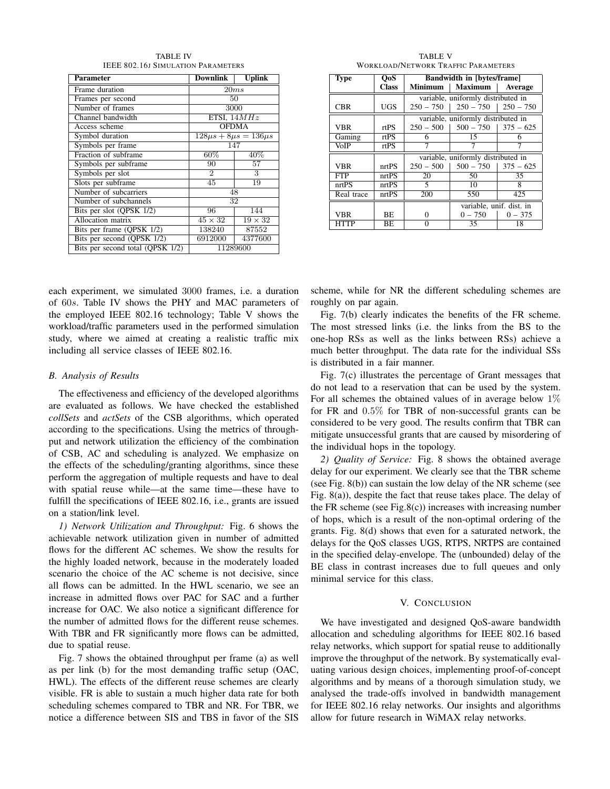| <b>Parameter</b>                 | <b>Downlink</b>                | <b>Uplink</b>  |
|----------------------------------|--------------------------------|----------------|
| Frame duration                   | 20ms                           |                |
| Frames per second                | 50                             |                |
| Number of frames                 | 3000                           |                |
| Channel bandwidth                | ETSI, $14MHz$                  |                |
| Access scheme                    | <b>OFDMA</b>                   |                |
| Symbol duration                  | $128\mu s + 8\mu s = 136\mu s$ |                |
| Symbols per frame                | 147                            |                |
| Fraction of subframe             | 60%                            | 40%            |
| Symbols per subframe             | 90                             | 57             |
| Symbols per slot                 | $\overline{2}$                 | 3              |
| Slots per subframe               | 45                             | 19             |
| Number of subcarriers            | 48                             |                |
| Number of subchannels            | 32                             |                |
| Bits per slot (QPSK 1/2)         | 96                             | 144            |
| Allocation matrix                | $45 \times 32$                 | $19 \times 32$ |
| Bits per frame (QPSK 1/2)        | 138240                         | 87552          |
| Bits per second (QPSK 1/2)       | 6912000                        | 4377600        |
| Bits per second total (QPSK 1/2) | 11289600                       |                |

TABLE IV IEEE 802.16J SIMULATION PARAMETERS

TABLE V WORKLOAD/NETWORK TRAFFIC PARAMETERS

| <b>Type</b> | <b>QoS</b>   | <b>Bandwidth in [bytes/frame]</b>  |                                         |           |
|-------------|--------------|------------------------------------|-----------------------------------------|-----------|
|             | <b>Class</b> | Minimum                            | Maximum                                 | Average   |
|             |              | variable, uniformly distributed in |                                         |           |
| <b>CBR</b>  | <b>UGS</b>   |                                    | $250 - 750$   $250 - 750$   $250 - 750$ |           |
|             |              | variable, uniformly distributed in |                                         |           |
| <b>VBR</b>  | rtPS         | $250 - 500$                        | $1\,500 - 750$ $1\,375 - 625$           |           |
| Gaming      | rtPS         | 6                                  | 15                                      |           |
| VoIP        | rtPS         |                                    |                                         |           |
|             |              | variable, uniformly distributed in |                                         |           |
| <b>VBR</b>  | nrtPS        | $250 - 500$                        | $500 - 750$   $375 - 625$               |           |
| <b>FTP</b>  | nrtPS        | 20                                 | 50                                      | 35        |
| nrtPS       | nrtPS        | .5                                 | 10                                      | 8         |
| Real trace  | nrtPS        | 200                                | 550                                     | 425       |
|             |              | variable, unif. dist. in           |                                         |           |
| <b>VBR</b>  | <b>BE</b>    | $\Omega$                           | $0 - 750$                               | $0 - 375$ |
| <b>HTTP</b> | <b>BE</b>    | $\theta$                           | 35                                      | 18        |

each experiment, we simulated 3000 frames, i.e. a duration of 60s. Table IV shows the PHY and MAC parameters of the employed IEEE 802.16 technology; Table V shows the workload/traffic parameters used in the performed simulation study, where we aimed at creating a realistic traffic mix including all service classes of IEEE 802.16.

## *B. Analysis of Results*

The effectiveness and efficiency of the developed algorithms are evaluated as follows. We have checked the established *collSets* and *actSets* of the CSB algorithms, which operated according to the specifications. Using the metrics of throughput and network utilization the efficiency of the combination of CSB, AC and scheduling is analyzed. We emphasize on the effects of the scheduling/granting algorithms, since these perform the aggregation of multiple requests and have to deal with spatial reuse while—at the same time—these have to fulfill the specifications of IEEE 802.16, i.e., grants are issued on a station/link level.

*1) Network Utilization and Throughput:* Fig. 6 shows the achievable network utilization given in number of admitted flows for the different AC schemes. We show the results for the highly loaded network, because in the moderately loaded scenario the choice of the AC scheme is not decisive, since all flows can be admitted. In the HWL scenario, we see an increase in admitted flows over PAC for SAC and a further increase for OAC. We also notice a significant difference for the number of admitted flows for the different reuse schemes. With TBR and FR significantly more flows can be admitted, due to spatial reuse.

Fig. 7 shows the obtained throughput per frame (a) as well as per link (b) for the most demanding traffic setup (OAC, HWL). The effects of the different reuse schemes are clearly visible. FR is able to sustain a much higher data rate for both scheduling schemes compared to TBR and NR. For TBR, we notice a difference between SIS and TBS in favor of the SIS scheme, while for NR the different scheduling schemes are roughly on par again.

Fig. 7(b) clearly indicates the benefits of the FR scheme. The most stressed links (i.e. the links from the BS to the one-hop RSs as well as the links between RSs) achieve a much better throughput. The data rate for the individual SSs is distributed in a fair manner.

Fig. 7(c) illustrates the percentage of Grant messages that do not lead to a reservation that can be used by the system. For all schemes the obtained values of in average below  $1\%$ for FR and 0.5% for TBR of non-successful grants can be considered to be very good. The results confirm that TBR can mitigate unsuccessful grants that are caused by misordering of the individual hops in the topology.

*2) Quality of Service:* Fig. 8 shows the obtained average delay for our experiment. We clearly see that the TBR scheme (see Fig. 8(b)) can sustain the low delay of the NR scheme (see Fig. 8(a)), despite the fact that reuse takes place. The delay of the FR scheme (see Fig.8 $(c)$ ) increases with increasing number of hops, which is a result of the non-optimal ordering of the grants. Fig. 8(d) shows that even for a saturated network, the delays for the QoS classes UGS, RTPS, NRTPS are contained in the specified delay-envelope. The (unbounded) delay of the BE class in contrast increases due to full queues and only minimal service for this class.

# V. CONCLUSION

We have investigated and designed QoS-aware bandwidth allocation and scheduling algorithms for IEEE 802.16 based relay networks, which support for spatial reuse to additionally improve the throughput of the network. By systematically evaluating various design choices, implementing proof-of-concept algorithms and by means of a thorough simulation study, we analysed the trade-offs involved in bandwidth management for IEEE 802.16 relay networks. Our insights and algorithms allow for future research in WiMAX relay networks.